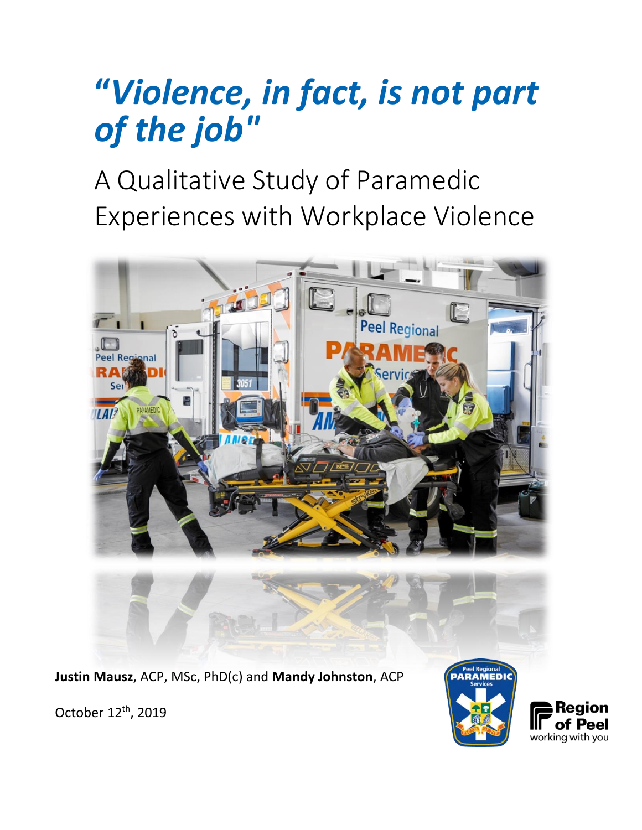# **"***Violence, in fact, is not part of the job"*

A Qualitative Study of Paramedic Experiences with Workplace Violence



**Justin Mausz**, ACP, MSc, PhD(c) and **Mandy Johnston**, ACP



October 12<sup>th</sup>, 2019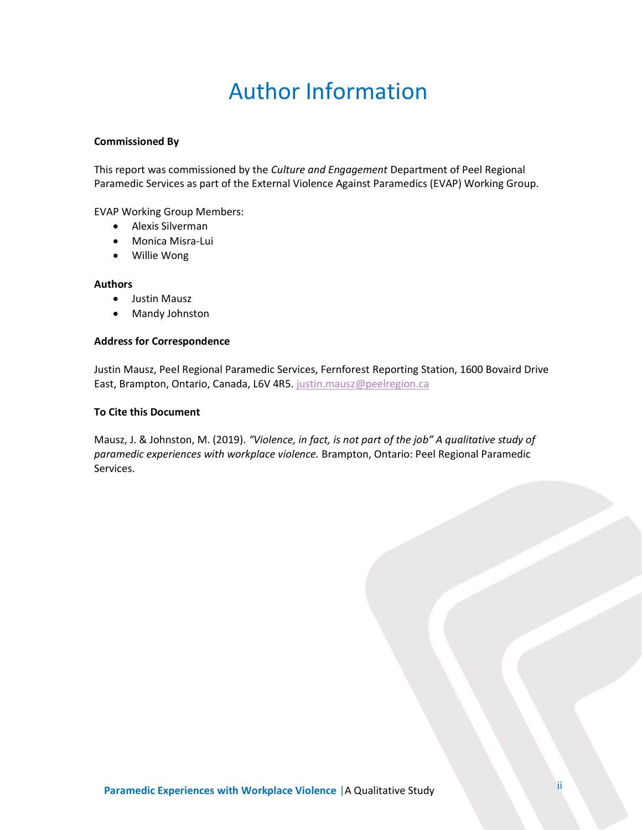# Author Information

#### **Commissioned By**

This report was commissioned by the *Culture and Engagement* Department of Peel Regional Paramedic Services as part of the External Violence Against Paramedics (EVAP) Working Group.

EVAP Working Group Members:

- Alexis Silverman
- Monica Misra-Lui
- Willie Wong

#### **Authors**

- Justin Mausz
- Mandy Johnston

#### **Address for Correspondence**

Justin Mausz, Peel Regional Paramedic Services, Fernforest Reporting Station, 1600 Bovaird Drive East, Brampton, Ontario, Canada, L6V 4R5. [justin.mausz@peelregion.ca](mailto:justin.mausz@peelregion.ca)

#### **To Cite this Document**

Mausz, J. & Johnston, M. (2019). *"Violence, in fact, is not part of the job" A qualitative study of paramedic experiences with workplace violence.* Brampton, Ontario: Peel Regional Paramedic Services.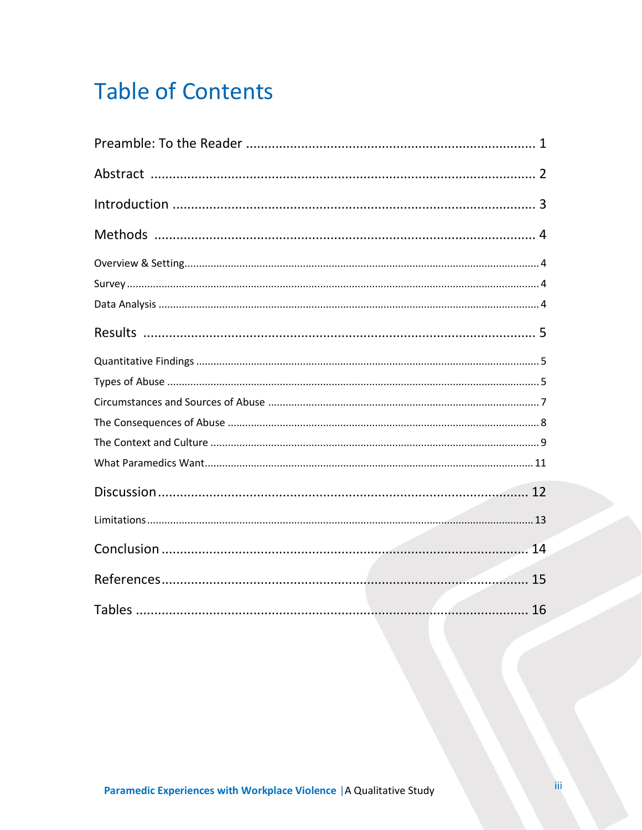# **Table of Contents**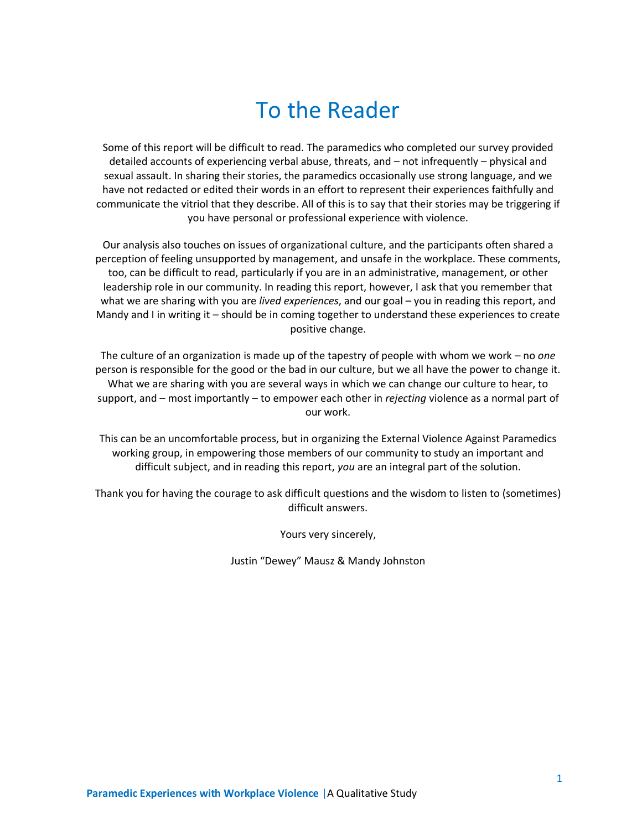# To the Reader

<span id="page-3-0"></span>Some of this report will be difficult to read. The paramedics who completed our survey provided detailed accounts of experiencing verbal abuse, threats, and – not infrequently – physical and sexual assault. In sharing their stories, the paramedics occasionally use strong language, and we have not redacted or edited their words in an effort to represent their experiences faithfully and communicate the vitriol that they describe. All of this is to say that their stories may be triggering if you have personal or professional experience with violence.

Our analysis also touches on issues of organizational culture, and the participants often shared a perception of feeling unsupported by management, and unsafe in the workplace. These comments, too, can be difficult to read, particularly if you are in an administrative, management, or other leadership role in our community. In reading this report, however, I ask that you remember that what we are sharing with you are *lived experiences*, and our goal – you in reading this report, and Mandy and I in writing it – should be in coming together to understand these experiences to create positive change.

The culture of an organization is made up of the tapestry of people with whom we work – no *one* person is responsible for the good or the bad in our culture, but we all have the power to change it. What we are sharing with you are several ways in which we can change our culture to hear, to support, and – most importantly – to empower each other in *rejecting* violence as a normal part of our work.

This can be an uncomfortable process, but in organizing the External Violence Against Paramedics working group, in empowering those members of our community to study an important and difficult subject, and in reading this report, *you* are an integral part of the solution.

Thank you for having the courage to ask difficult questions and the wisdom to listen to (sometimes) difficult answers.

Yours very sincerely,

Justin "Dewey" Mausz & Mandy Johnston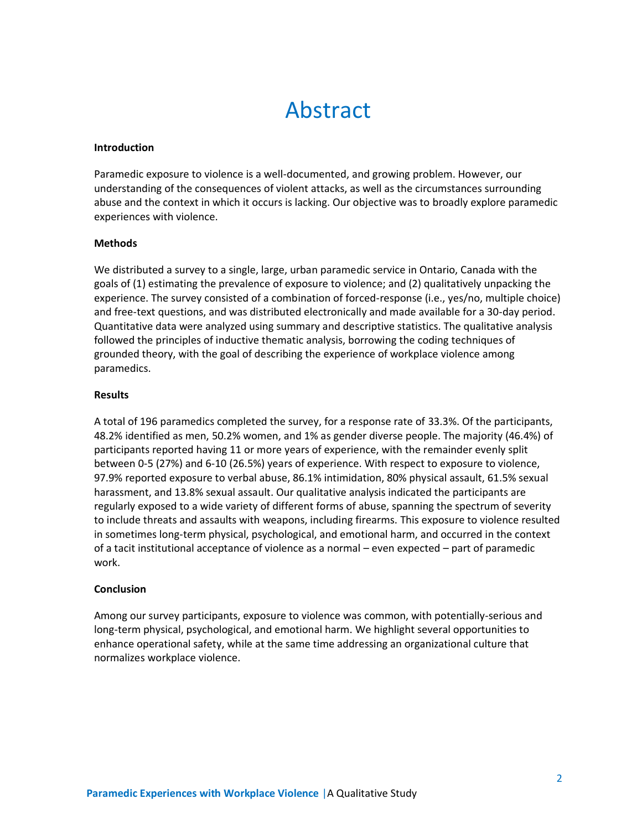## Abstract

#### <span id="page-4-0"></span>**Introduction**

Paramedic exposure to violence is a well-documented, and growing problem. However, our understanding of the consequences of violent attacks, as well as the circumstances surrounding abuse and the context in which it occurs is lacking. Our objective was to broadly explore paramedic experiences with violence.

#### **Methods**

We distributed a survey to a single, large, urban paramedic service in Ontario, Canada with the goals of (1) estimating the prevalence of exposure to violence; and (2) qualitatively unpacking the experience. The survey consisted of a combination of forced-response (i.e., yes/no, multiple choice) and free-text questions, and was distributed electronically and made available for a 30-day period. Quantitative data were analyzed using summary and descriptive statistics. The qualitative analysis followed the principles of inductive thematic analysis, borrowing the coding techniques of grounded theory, with the goal of describing the experience of workplace violence among paramedics.

#### **Results**

A total of 196 paramedics completed the survey, for a response rate of 33.3%. Of the participants, 48.2% identified as men, 50.2% women, and 1% as gender diverse people. The majority (46.4%) of participants reported having 11 or more years of experience, with the remainder evenly split between 0-5 (27%) and 6-10 (26.5%) years of experience. With respect to exposure to violence, 97.9% reported exposure to verbal abuse, 86.1% intimidation, 80% physical assault, 61.5% sexual harassment, and 13.8% sexual assault. Our qualitative analysis indicated the participants are regularly exposed to a wide variety of different forms of abuse, spanning the spectrum of severity to include threats and assaults with weapons, including firearms. This exposure to violence resulted in sometimes long-term physical, psychological, and emotional harm, and occurred in the context of a tacit institutional acceptance of violence as a normal – even expected – part of paramedic work.

#### **Conclusion**

Among our survey participants, exposure to violence was common, with potentially-serious and long-term physical, psychological, and emotional harm. We highlight several opportunities to enhance operational safety, while at the same time addressing an organizational culture that normalizes workplace violence.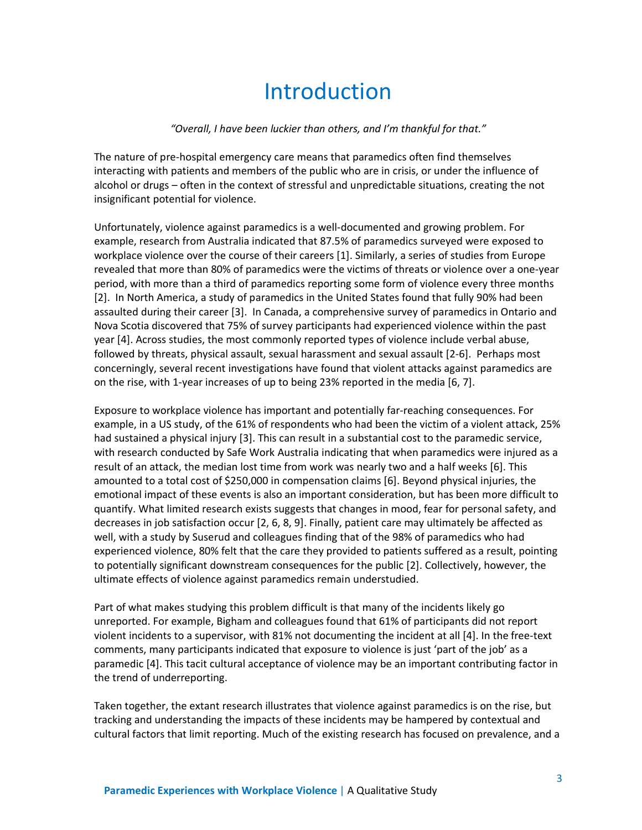### Introduction

#### *"Overall, I have been luckier than others, and I'm thankful for that."*

<span id="page-5-0"></span>The nature of pre-hospital emergency care means that paramedics often find themselves interacting with patients and members of the public who are in crisis, or under the influence of alcohol or drugs – often in the context of stressful and unpredictable situations, creating the not insignificant potential for violence.

Unfortunately, violence against paramedics is a well-documented and growing problem. For example, research from Australia indicated that 87.5% of paramedics surveyed were exposed to workplace violence over the course of their careers [1]. Similarly, a series of studies from Europe revealed that more than 80% of paramedics were the victims of threats or violence over a one-year period, with more than a third of paramedics reporting some form of violence every three months [2]. In North America, a study of paramedics in the United States found that fully 90% had been assaulted during their career [3]. In Canada, a comprehensive survey of paramedics in Ontario and Nova Scotia discovered that 75% of survey participants had experienced violence within the past year [4]. Across studies, the most commonly reported types of violence include verbal abuse, followed by threats, physical assault, sexual harassment and sexual assault [2-6]. Perhaps most concerningly, several recent investigations have found that violent attacks against paramedics are on the rise, with 1-year increases of up to being 23% reported in the media [6, 7].

Exposure to workplace violence has important and potentially far-reaching consequences. For example, in a US study, of the 61% of respondents who had been the victim of a violent attack, 25% had sustained a physical injury [3]. This can result in a substantial cost to the paramedic service, with research conducted by Safe Work Australia indicating that when paramedics were injured as a result of an attack, the median lost time from work was nearly two and a half weeks [6]. This amounted to a total cost of \$250,000 in compensation claims [6]. Beyond physical injuries, the emotional impact of these events is also an important consideration, but has been more difficult to quantify. What limited research exists suggests that changes in mood, fear for personal safety, and decreases in job satisfaction occur [2, 6, 8, 9]. Finally, patient care may ultimately be affected as well, with a study by Suserud and colleagues finding that of the 98% of paramedics who had experienced violence, 80% felt that the care they provided to patients suffered as a result, pointing to potentially significant downstream consequences for the public [2]. Collectively, however, the ultimate effects of violence against paramedics remain understudied.

Part of what makes studying this problem difficult is that many of the incidents likely go unreported. For example, Bigham and colleagues found that 61% of participants did not report violent incidents to a supervisor, with 81% not documenting the incident at all [4]. In the free-text comments, many participants indicated that exposure to violence is just 'part of the job' as a paramedic [4]. This tacit cultural acceptance of violence may be an important contributing factor in the trend of underreporting.

Taken together, the extant research illustrates that violence against paramedics is on the rise, but tracking and understanding the impacts of these incidents may be hampered by contextual and cultural factors that limit reporting. Much of the existing research has focused on prevalence, and a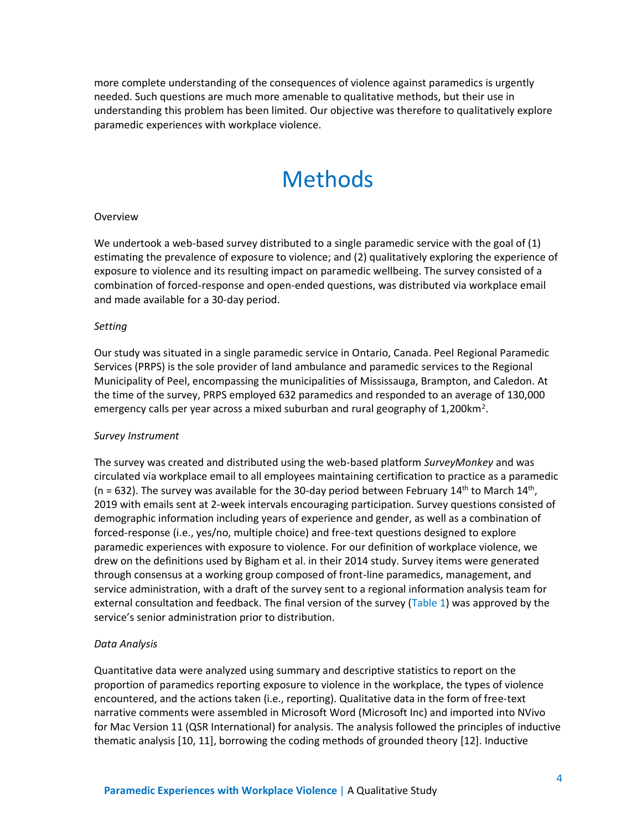<span id="page-6-0"></span>more complete understanding of the consequences of violence against paramedics is urgently needed. Such questions are much more amenable to qualitative methods, but their use in understanding this problem has been limited. Our objective was therefore to qualitatively explore paramedic experiences with workplace violence.

### Methods

#### **Overview**

We undertook a web-based survey distributed to a single paramedic service with the goal of (1) estimating the prevalence of exposure to violence; and (2) qualitatively exploring the experience of exposure to violence and its resulting impact on paramedic wellbeing. The survey consisted of a combination of forced-response and open-ended questions, was distributed via workplace email and made available for a 30-day period.

#### *Setting*

Our study was situated in a single paramedic service in Ontario, Canada. Peel Regional Paramedic Services (PRPS) is the sole provider of land ambulance and paramedic services to the Regional Municipality of Peel, encompassing the municipalities of Mississauga, Brampton, and Caledon. At the time of the survey, PRPS employed 632 paramedics and responded to an average of 130,000 emergency calls per year across a mixed suburban and rural geography of 1,200km<sup>2</sup>.

#### *Survey Instrument*

The survey was created and distributed using the web-based platform *SurveyMonkey* and was circulated via workplace email to all employees maintaining certification to practice as a paramedic (n = 632). The survey was available for the 30-day period between February  $14<sup>th</sup>$  to March  $14<sup>th</sup>$ , 2019 with emails sent at 2-week intervals encouraging participation. Survey questions consisted of demographic information including years of experience and gender, as well as a combination of forced-response (i.e., yes/no, multiple choice) and free-text questions designed to explore paramedic experiences with exposure to violence. For our definition of workplace violence, we drew on the definitions used by Bigham et al. in their 2014 study. Survey items were generated through consensus at a working group composed of front-line paramedics, management, and service administration, with a draft of the survey sent to a regional information analysis team for external consultation and feedback. The final version of the survey (Table 1) was approved by the service's senior administration prior to distribution.

#### *Data Analysis*

Quantitative data were analyzed using summary and descriptive statistics to report on the proportion of paramedics reporting exposure to violence in the workplace, the types of violence encountered, and the actions taken (i.e., reporting). Qualitative data in the form of free-text narrative comments were assembled in Microsoft Word (Microsoft Inc) and imported into NVivo for Mac Version 11 (QSR International) for analysis. The analysis followed the principles of inductive thematic analysis [10, 11], borrowing the coding methods of grounded theory [12]. Inductive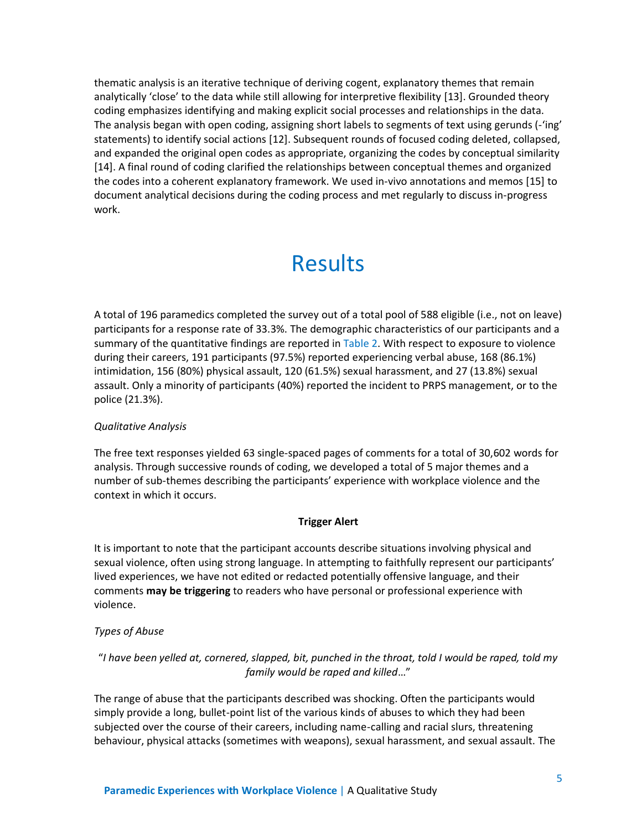thematic analysis is an iterative technique of deriving cogent, explanatory themes that remain analytically 'close' to the data while still allowing for interpretive flexibility [13]. Grounded theory coding emphasizes identifying and making explicit social processes and relationships in the data. The analysis began with open coding, assigning short labels to segments of text using gerunds (-'ing' statements) to identify social actions [12]. Subsequent rounds of focused coding deleted, collapsed, and expanded the original open codes as appropriate, organizing the codes by conceptual similarity [14]. A final round of coding clarified the relationships between conceptual themes and organized the codes into a coherent explanatory framework. We used in-vivo annotations and memos [15] to document analytical decisions during the coding process and met regularly to discuss in-progress work.

### Results

<span id="page-7-0"></span>A total of 196 paramedics completed the survey out of a total pool of 588 eligible (i.e., not on leave) participants for a response rate of 33.3%. The demographic characteristics of our participants and a summary of the quantitative findings are reported in Table 2. With respect to exposure to violence during their careers, 191 participants (97.5%) reported experiencing verbal abuse, 168 (86.1%) intimidation, 156 (80%) physical assault, 120 (61.5%) sexual harassment, and 27 (13.8%) sexual assault. Only a minority of participants (40%) reported the incident to PRPS management, or to the police (21.3%).

#### *Qualitative Analysis*

The free text responses yielded 63 single-spaced pages of comments for a total of 30,602 words for analysis. Through successive rounds of coding, we developed a total of 5 major themes and a number of sub-themes describing the participants' experience with workplace violence and the context in which it occurs.

#### **Trigger Alert**

It is important to note that the participant accounts describe situations involving physical and sexual violence, often using strong language. In attempting to faithfully represent our participants' lived experiences, we have not edited or redacted potentially offensive language, and their comments **may be triggering** to readers who have personal or professional experience with violence.

#### *Types of Abuse*

#### "*I have been yelled at, cornered, slapped, bit, punched in the throat, told I would be raped, told my family would be raped and killed*…"

The range of abuse that the participants described was shocking. Often the participants would simply provide a long, bullet-point list of the various kinds of abuses to which they had been subjected over the course of their careers, including name-calling and racial slurs, threatening behaviour, physical attacks (sometimes with weapons), sexual harassment, and sexual assault. The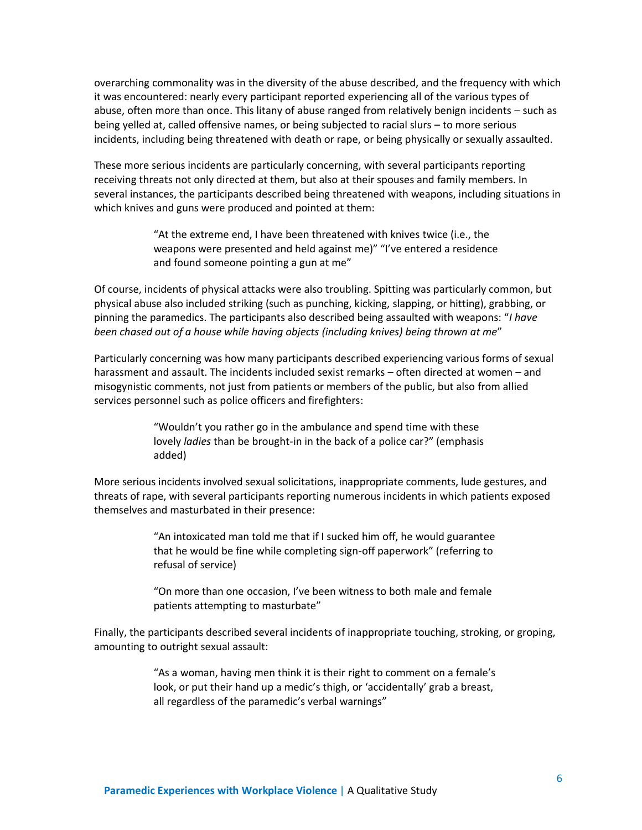overarching commonality was in the diversity of the abuse described, and the frequency with which it was encountered: nearly every participant reported experiencing all of the various types of abuse, often more than once. This litany of abuse ranged from relatively benign incidents – such as being yelled at, called offensive names, or being subjected to racial slurs – to more serious incidents, including being threatened with death or rape, or being physically or sexually assaulted.

These more serious incidents are particularly concerning, with several participants reporting receiving threats not only directed at them, but also at their spouses and family members. In several instances, the participants described being threatened with weapons, including situations in which knives and guns were produced and pointed at them:

> "At the extreme end, I have been threatened with knives twice (i.e., the weapons were presented and held against me)" "I've entered a residence and found someone pointing a gun at me"

Of course, incidents of physical attacks were also troubling. Spitting was particularly common, but physical abuse also included striking (such as punching, kicking, slapping, or hitting), grabbing, or pinning the paramedics. The participants also described being assaulted with weapons: "*I have been chased out of a house while having objects (including knives) being thrown at me*"

Particularly concerning was how many participants described experiencing various forms of sexual harassment and assault. The incidents included sexist remarks – often directed at women – and misogynistic comments, not just from patients or members of the public, but also from allied services personnel such as police officers and firefighters:

> "Wouldn't you rather go in the ambulance and spend time with these lovely *ladies* than be brought-in in the back of a police car?" (emphasis added)

More serious incidents involved sexual solicitations, inappropriate comments, lude gestures, and threats of rape, with several participants reporting numerous incidents in which patients exposed themselves and masturbated in their presence:

> "An intoxicated man told me that if I sucked him off, he would guarantee that he would be fine while completing sign-off paperwork" (referring to refusal of service)

> "On more than one occasion, I've been witness to both male and female patients attempting to masturbate"

Finally, the participants described several incidents of inappropriate touching, stroking, or groping, amounting to outright sexual assault:

> "As a woman, having men think it is their right to comment on a female's look, or put their hand up a medic's thigh, or 'accidentally' grab a breast, all regardless of the paramedic's verbal warnings"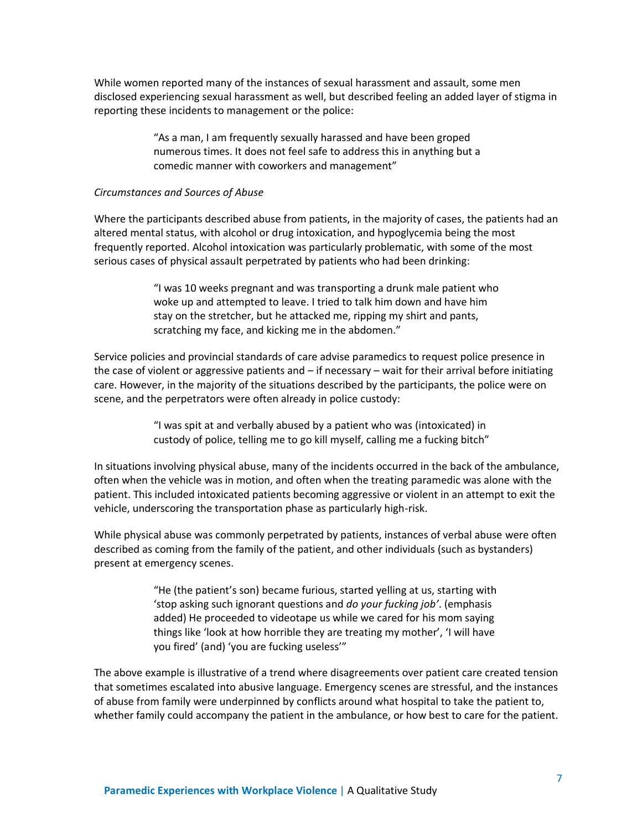While women reported many of the instances of sexual harassment and assault, some men disclosed experiencing sexual harassment as well, but described feeling an added layer of stigma in reporting these incidents to management or the police:

> "As a man, I am frequently sexually harassed and have been groped numerous times. It does not feel safe to address this in anything but a comedic manner with coworkers and management"

#### *Circumstances and Sources of Abuse*

Where the participants described abuse from patients, in the majority of cases, the patients had an altered mental status, with alcohol or drug intoxication, and hypoglycemia being the most frequently reported. Alcohol intoxication was particularly problematic, with some of the most serious cases of physical assault perpetrated by patients who had been drinking:

> "I was 10 weeks pregnant and was transporting a drunk male patient who woke up and attempted to leave. I tried to talk him down and have him stay on the stretcher, but he attacked me, ripping my shirt and pants, scratching my face, and kicking me in the abdomen."

Service policies and provincial standards of care advise paramedics to request police presence in the case of violent or aggressive patients and – if necessary – wait for their arrival before initiating care. However, in the majority of the situations described by the participants, the police were on scene, and the perpetrators were often already in police custody:

> "I was spit at and verbally abused by a patient who was (intoxicated) in custody of police, telling me to go kill myself, calling me a fucking bitch"

In situations involving physical abuse, many of the incidents occurred in the back of the ambulance, often when the vehicle was in motion, and often when the treating paramedic was alone with the patient. This included intoxicated patients becoming aggressive or violent in an attempt to exit the vehicle, underscoring the transportation phase as particularly high-risk.

While physical abuse was commonly perpetrated by patients, instances of verbal abuse were often described as coming from the family of the patient, and other individuals (such as bystanders) present at emergency scenes.

> "He (the patient's son) became furious, started yelling at us, starting with 'stop asking such ignorant questions and *do your fucking job'*. (emphasis added) He proceeded to videotape us while we cared for his mom saying things like 'look at how horrible they are treating my mother', 'I will have you fired' (and) 'you are fucking useless'"

The above example is illustrative of a trend where disagreements over patient care created tension that sometimes escalated into abusive language. Emergency scenes are stressful, and the instances of abuse from family were underpinned by conflicts around what hospital to take the patient to, whether family could accompany the patient in the ambulance, or how best to care for the patient.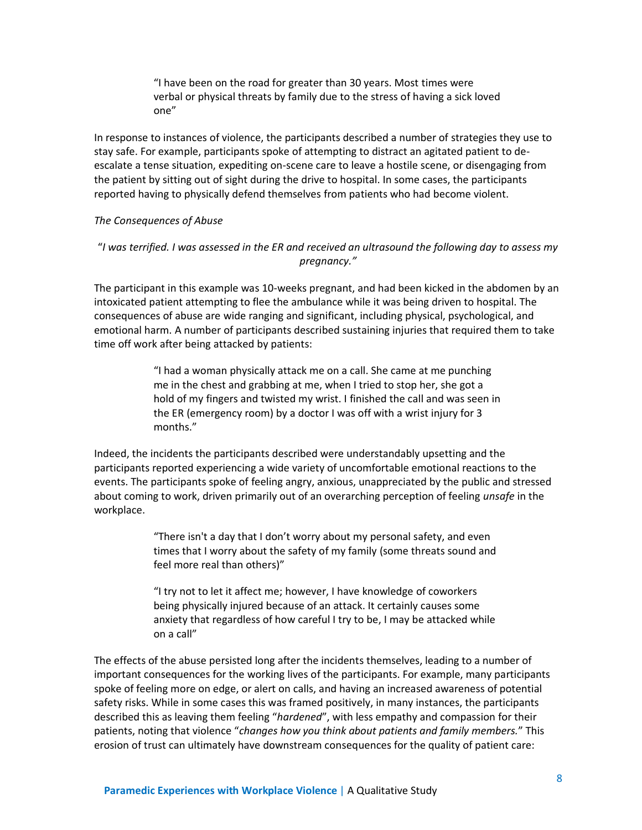"I have been on the road for greater than 30 years. Most times were verbal or physical threats by family due to the stress of having a sick loved one"

In response to instances of violence, the participants described a number of strategies they use to stay safe. For example, participants spoke of attempting to distract an agitated patient to deescalate a tense situation, expediting on-scene care to leave a hostile scene, or disengaging from the patient by sitting out of sight during the drive to hospital. In some cases, the participants reported having to physically defend themselves from patients who had become violent.

#### *The Consequences of Abuse*

#### "*I was terrified. I was assessed in the ER and received an ultrasound the following day to assess my pregnancy."*

The participant in this example was 10-weeks pregnant, and had been kicked in the abdomen by an intoxicated patient attempting to flee the ambulance while it was being driven to hospital. The consequences of abuse are wide ranging and significant, including physical, psychological, and emotional harm. A number of participants described sustaining injuries that required them to take time off work after being attacked by patients:

> "I had a woman physically attack me on a call. She came at me punching me in the chest and grabbing at me, when I tried to stop her, she got a hold of my fingers and twisted my wrist. I finished the call and was seen in the ER (emergency room) by a doctor I was off with a wrist injury for 3 months."

Indeed, the incidents the participants described were understandably upsetting and the participants reported experiencing a wide variety of uncomfortable emotional reactions to the events. The participants spoke of feeling angry, anxious, unappreciated by the public and stressed about coming to work, driven primarily out of an overarching perception of feeling *unsafe* in the workplace.

> "There isn't a day that I don't worry about my personal safety, and even times that I worry about the safety of my family (some threats sound and feel more real than others)"

> "I try not to let it affect me; however, I have knowledge of coworkers being physically injured because of an attack. It certainly causes some anxiety that regardless of how careful I try to be, I may be attacked while on a call"

The effects of the abuse persisted long after the incidents themselves, leading to a number of important consequences for the working lives of the participants. For example, many participants spoke of feeling more on edge, or alert on calls, and having an increased awareness of potential safety risks. While in some cases this was framed positively, in many instances, the participants described this as leaving them feeling "*hardened*", with less empathy and compassion for their patients, noting that violence "*changes how you think about patients and family members.*" This erosion of trust can ultimately have downstream consequences for the quality of patient care: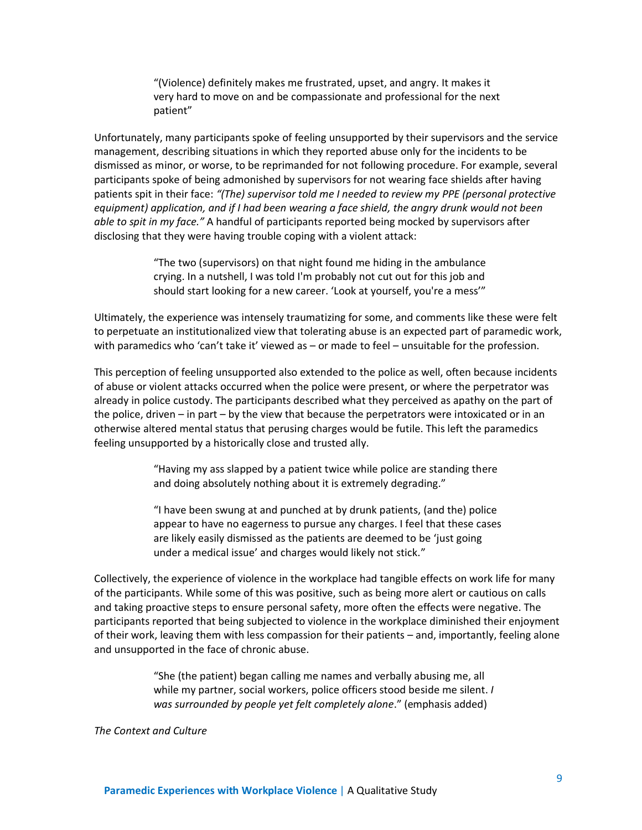"(Violence) definitely makes me frustrated, upset, and angry. It makes it very hard to move on and be compassionate and professional for the next patient"

Unfortunately, many participants spoke of feeling unsupported by their supervisors and the service management, describing situations in which they reported abuse only for the incidents to be dismissed as minor, or worse, to be reprimanded for not following procedure. For example, several participants spoke of being admonished by supervisors for not wearing face shields after having patients spit in their face: *"(The) supervisor told me I needed to review my PPE (personal protective equipment) application, and if I had been wearing a face shield, the angry drunk would not been able to spit in my face."* A handful of participants reported being mocked by supervisors after disclosing that they were having trouble coping with a violent attack:

> "The two (supervisors) on that night found me hiding in the ambulance crying. In a nutshell, I was told I'm probably not cut out for this job and should start looking for a new career. 'Look at yourself, you're a mess'"

Ultimately, the experience was intensely traumatizing for some, and comments like these were felt to perpetuate an institutionalized view that tolerating abuse is an expected part of paramedic work, with paramedics who 'can't take it' viewed as – or made to feel – unsuitable for the profession.

This perception of feeling unsupported also extended to the police as well, often because incidents of abuse or violent attacks occurred when the police were present, or where the perpetrator was already in police custody. The participants described what they perceived as apathy on the part of the police, driven – in part – by the view that because the perpetrators were intoxicated or in an otherwise altered mental status that perusing charges would be futile. This left the paramedics feeling unsupported by a historically close and trusted ally.

> "Having my ass slapped by a patient twice while police are standing there and doing absolutely nothing about it is extremely degrading."

"I have been swung at and punched at by drunk patients, (and the) police appear to have no eagerness to pursue any charges. I feel that these cases are likely easily dismissed as the patients are deemed to be 'just going under a medical issue' and charges would likely not stick."

Collectively, the experience of violence in the workplace had tangible effects on work life for many of the participants. While some of this was positive, such as being more alert or cautious on calls and taking proactive steps to ensure personal safety, more often the effects were negative. The participants reported that being subjected to violence in the workplace diminished their enjoyment of their work, leaving them with less compassion for their patients – and, importantly, feeling alone and unsupported in the face of chronic abuse.

> "She (the patient) began calling me names and verbally abusing me, all while my partner, social workers, police officers stood beside me silent. *I was surrounded by people yet felt completely alone*." (emphasis added)

*The Context and Culture*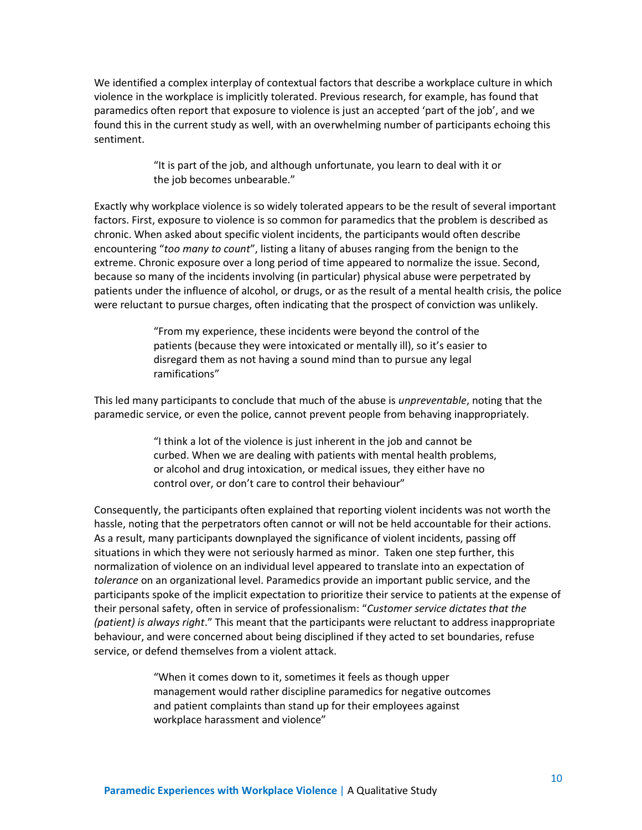We identified a complex interplay of contextual factors that describe a workplace culture in which violence in the workplace is implicitly tolerated. Previous research, for example, has found that paramedics often report that exposure to violence is just an accepted 'part of the job', and we found this in the current study as well, with an overwhelming number of participants echoing this sentiment.

> "It is part of the job, and although unfortunate, you learn to deal with it or the job becomes unbearable."

Exactly why workplace violence is so widely tolerated appears to be the result of several important factors. First, exposure to violence is so common for paramedics that the problem is described as chronic. When asked about specific violent incidents, the participants would often describe encountering "*too many to count*", listing a litany of abuses ranging from the benign to the extreme. Chronic exposure over a long period of time appeared to normalize the issue. Second, because so many of the incidents involving (in particular) physical abuse were perpetrated by patients under the influence of alcohol, or drugs, or as the result of a mental health crisis, the police were reluctant to pursue charges, often indicating that the prospect of conviction was unlikely.

> "From my experience, these incidents were beyond the control of the patients (because they were intoxicated or mentally ill), so it's easier to disregard them as not having a sound mind than to pursue any legal ramifications"

This led many participants to conclude that much of the abuse is *unpreventable*, noting that the paramedic service, or even the police, cannot prevent people from behaving inappropriately.

> "I think a lot of the violence is just inherent in the job and cannot be curbed. When we are dealing with patients with mental health problems, or alcohol and drug intoxication, or medical issues, they either have no control over, or don't care to control their behaviour"

Consequently, the participants often explained that reporting violent incidents was not worth the hassle, noting that the perpetrators often cannot or will not be held accountable for their actions. As a result, many participants downplayed the significance of violent incidents, passing off situations in which they were not seriously harmed as minor. Taken one step further, this normalization of violence on an individual level appeared to translate into an expectation of *tolerance* on an organizational level. Paramedics provide an important public service, and the participants spoke of the implicit expectation to prioritize their service to patients at the expense of their personal safety, often in service of professionalism: "*Customer service dictates that the (patient) is always right*." This meant that the participants were reluctant to address inappropriate behaviour, and were concerned about being disciplined if they acted to set boundaries, refuse service, or defend themselves from a violent attack.

> "When it comes down to it, sometimes it feels as though upper management would rather discipline paramedics for negative outcomes and patient complaints than stand up for their employees against workplace harassment and violence"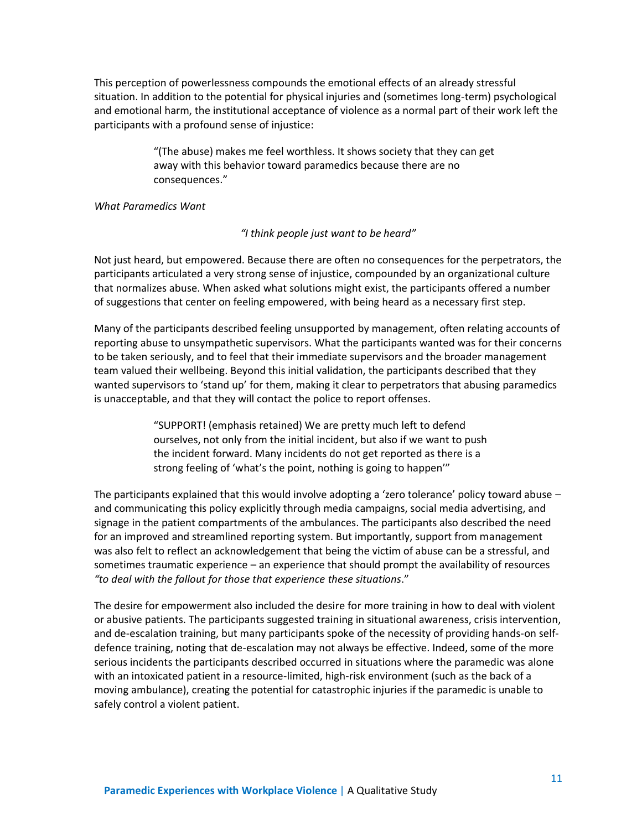This perception of powerlessness compounds the emotional effects of an already stressful situation. In addition to the potential for physical injuries and (sometimes long-term) psychological and emotional harm, the institutional acceptance of violence as a normal part of their work left the participants with a profound sense of injustice:

> "(The abuse) makes me feel worthless. It shows society that they can get away with this behavior toward paramedics because there are no consequences."

#### *What Paramedics Want*

*"I think people just want to be heard"*

Not just heard, but empowered. Because there are often no consequences for the perpetrators, the participants articulated a very strong sense of injustice, compounded by an organizational culture that normalizes abuse. When asked what solutions might exist, the participants offered a number of suggestions that center on feeling empowered, with being heard as a necessary first step.

Many of the participants described feeling unsupported by management, often relating accounts of reporting abuse to unsympathetic supervisors. What the participants wanted was for their concerns to be taken seriously, and to feel that their immediate supervisors and the broader management team valued their wellbeing. Beyond this initial validation, the participants described that they wanted supervisors to 'stand up' for them, making it clear to perpetrators that abusing paramedics is unacceptable, and that they will contact the police to report offenses.

> "SUPPORT! (emphasis retained) We are pretty much left to defend ourselves, not only from the initial incident, but also if we want to push the incident forward. Many incidents do not get reported as there is a strong feeling of 'what's the point, nothing is going to happen'"

The participants explained that this would involve adopting a 'zero tolerance' policy toward abuse – and communicating this policy explicitly through media campaigns, social media advertising, and signage in the patient compartments of the ambulances. The participants also described the need for an improved and streamlined reporting system. But importantly, support from management was also felt to reflect an acknowledgement that being the victim of abuse can be a stressful, and sometimes traumatic experience – an experience that should prompt the availability of resources *"to deal with the fallout for those that experience these situations*."

The desire for empowerment also included the desire for more training in how to deal with violent or abusive patients. The participants suggested training in situational awareness, crisis intervention, and de-escalation training, but many participants spoke of the necessity of providing hands-on selfdefence training, noting that de-escalation may not always be effective. Indeed, some of the more serious incidents the participants described occurred in situations where the paramedic was alone with an intoxicated patient in a resource-limited, high-risk environment (such as the back of a moving ambulance), creating the potential for catastrophic injuries if the paramedic is unable to safely control a violent patient.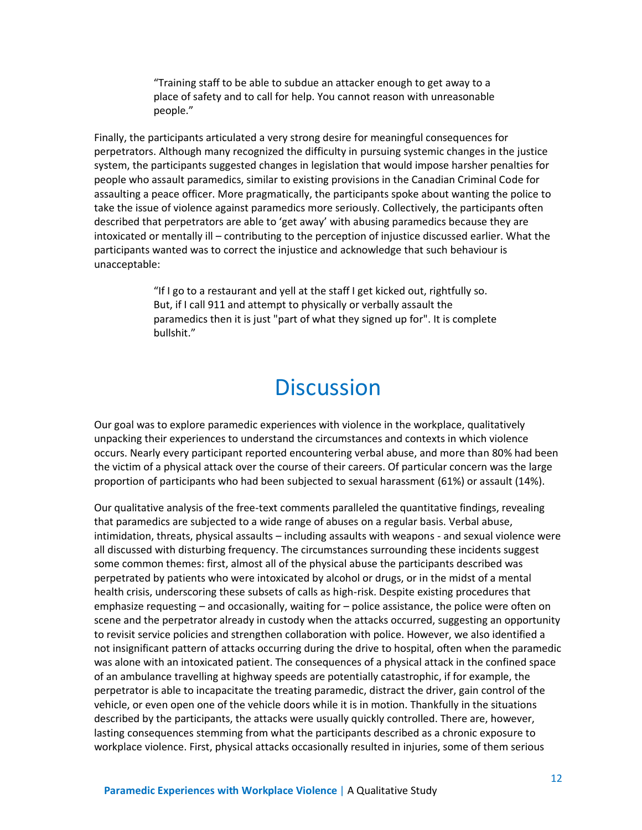"Training staff to be able to subdue an attacker enough to get away to a place of safety and to call for help. You cannot reason with unreasonable people."

Finally, the participants articulated a very strong desire for meaningful consequences for perpetrators. Although many recognized the difficulty in pursuing systemic changes in the justice system, the participants suggested changes in legislation that would impose harsher penalties for people who assault paramedics, similar to existing provisions in the Canadian Criminal Code for assaulting a peace officer. More pragmatically, the participants spoke about wanting the police to take the issue of violence against paramedics more seriously. Collectively, the participants often described that perpetrators are able to 'get away' with abusing paramedics because they are intoxicated or mentally ill – contributing to the perception of injustice discussed earlier. What the participants wanted was to correct the injustice and acknowledge that such behaviour is unacceptable:

> "If I go to a restaurant and yell at the staff I get kicked out, rightfully so. But, if I call 911 and attempt to physically or verbally assault the paramedics then it is just "part of what they signed up for". It is complete bullshit."

### **Discussion**

<span id="page-14-0"></span>Our goal was to explore paramedic experiences with violence in the workplace, qualitatively unpacking their experiences to understand the circumstances and contexts in which violence occurs. Nearly every participant reported encountering verbal abuse, and more than 80% had been the victim of a physical attack over the course of their careers. Of particular concern was the large proportion of participants who had been subjected to sexual harassment (61%) or assault (14%).

Our qualitative analysis of the free-text comments paralleled the quantitative findings, revealing that paramedics are subjected to a wide range of abuses on a regular basis. Verbal abuse, intimidation, threats, physical assaults – including assaults with weapons - and sexual violence were all discussed with disturbing frequency. The circumstances surrounding these incidents suggest some common themes: first, almost all of the physical abuse the participants described was perpetrated by patients who were intoxicated by alcohol or drugs, or in the midst of a mental health crisis, underscoring these subsets of calls as high-risk. Despite existing procedures that emphasize requesting – and occasionally, waiting for – police assistance, the police were often on scene and the perpetrator already in custody when the attacks occurred, suggesting an opportunity to revisit service policies and strengthen collaboration with police. However, we also identified a not insignificant pattern of attacks occurring during the drive to hospital, often when the paramedic was alone with an intoxicated patient. The consequences of a physical attack in the confined space of an ambulance travelling at highway speeds are potentially catastrophic, if for example, the perpetrator is able to incapacitate the treating paramedic, distract the driver, gain control of the vehicle, or even open one of the vehicle doors while it is in motion. Thankfully in the situations described by the participants, the attacks were usually quickly controlled. There are, however, lasting consequences stemming from what the participants described as a chronic exposure to workplace violence. First, physical attacks occasionally resulted in injuries, some of them serious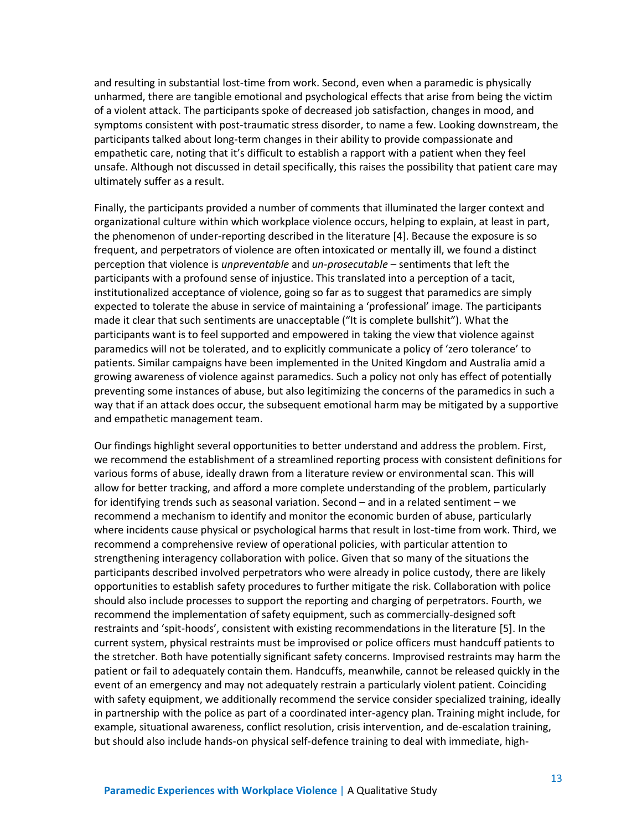and resulting in substantial lost-time from work. Second, even when a paramedic is physically unharmed, there are tangible emotional and psychological effects that arise from being the victim of a violent attack. The participants spoke of decreased job satisfaction, changes in mood, and symptoms consistent with post-traumatic stress disorder, to name a few. Looking downstream, the participants talked about long-term changes in their ability to provide compassionate and empathetic care, noting that it's difficult to establish a rapport with a patient when they feel unsafe. Although not discussed in detail specifically, this raises the possibility that patient care may ultimately suffer as a result.

Finally, the participants provided a number of comments that illuminated the larger context and organizational culture within which workplace violence occurs, helping to explain, at least in part, the phenomenon of under-reporting described in the literature [4]. Because the exposure is so frequent, and perpetrators of violence are often intoxicated or mentally ill, we found a distinct perception that violence is *unpreventable* and *un-prosecutable* – sentiments that left the participants with a profound sense of injustice. This translated into a perception of a tacit, institutionalized acceptance of violence, going so far as to suggest that paramedics are simply expected to tolerate the abuse in service of maintaining a 'professional' image. The participants made it clear that such sentiments are unacceptable ("It is complete bullshit"). What the participants want is to feel supported and empowered in taking the view that violence against paramedics will not be tolerated, and to explicitly communicate a policy of 'zero tolerance' to patients. Similar campaigns have been implemented in the United Kingdom and Australia amid a growing awareness of violence against paramedics. Such a policy not only has effect of potentially preventing some instances of abuse, but also legitimizing the concerns of the paramedics in such a way that if an attack does occur, the subsequent emotional harm may be mitigated by a supportive and empathetic management team.

Our findings highlight several opportunities to better understand and address the problem. First, we recommend the establishment of a streamlined reporting process with consistent definitions for various forms of abuse, ideally drawn from a literature review or environmental scan. This will allow for better tracking, and afford a more complete understanding of the problem, particularly for identifying trends such as seasonal variation. Second – and in a related sentiment – we recommend a mechanism to identify and monitor the economic burden of abuse, particularly where incidents cause physical or psychological harms that result in lost-time from work. Third, we recommend a comprehensive review of operational policies, with particular attention to strengthening interagency collaboration with police. Given that so many of the situations the participants described involved perpetrators who were already in police custody, there are likely opportunities to establish safety procedures to further mitigate the risk. Collaboration with police should also include processes to support the reporting and charging of perpetrators. Fourth, we recommend the implementation of safety equipment, such as commercially-designed soft restraints and 'spit-hoods', consistent with existing recommendations in the literature [5]. In the current system, physical restraints must be improvised or police officers must handcuff patients to the stretcher. Both have potentially significant safety concerns. Improvised restraints may harm the patient or fail to adequately contain them. Handcuffs, meanwhile, cannot be released quickly in the event of an emergency and may not adequately restrain a particularly violent patient. Coinciding with safety equipment, we additionally recommend the service consider specialized training, ideally in partnership with the police as part of a coordinated inter-agency plan. Training might include, for example, situational awareness, conflict resolution, crisis intervention, and de-escalation training, but should also include hands-on physical self-defence training to deal with immediate, high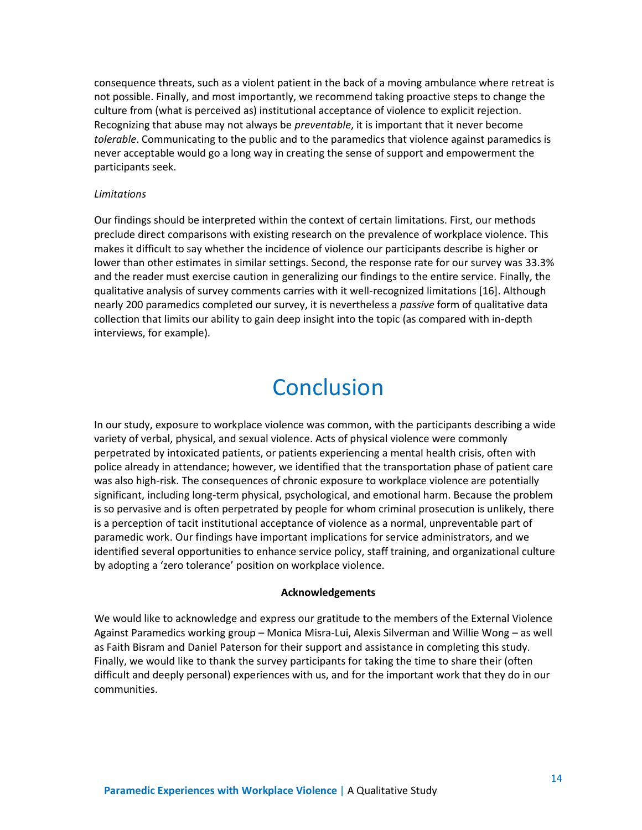consequence threats, such as a violent patient in the back of a moving ambulance where retreat is not possible. Finally, and most importantly, we recommend taking proactive steps to change the culture from (what is perceived as) institutional acceptance of violence to explicit rejection. Recognizing that abuse may not always be *preventable*, it is important that it never become *tolerable*. Communicating to the public and to the paramedics that violence against paramedics is never acceptable would go a long way in creating the sense of support and empowerment the participants seek.

#### *Limitations*

Our findings should be interpreted within the context of certain limitations. First, our methods preclude direct comparisons with existing research on the prevalence of workplace violence. This makes it difficult to say whether the incidence of violence our participants describe is higher or lower than other estimates in similar settings. Second, the response rate for our survey was 33.3% and the reader must exercise caution in generalizing our findings to the entire service. Finally, the qualitative analysis of survey comments carries with it well-recognized limitations [16]. Although nearly 200 paramedics completed our survey, it is nevertheless a *passive* form of qualitative data collection that limits our ability to gain deep insight into the topic (as compared with in-depth interviews, for example).

### **Conclusion**

<span id="page-16-0"></span>In our study, exposure to workplace violence was common, with the participants describing a wide variety of verbal, physical, and sexual violence. Acts of physical violence were commonly perpetrated by intoxicated patients, or patients experiencing a mental health crisis, often with police already in attendance; however, we identified that the transportation phase of patient care was also high-risk. The consequences of chronic exposure to workplace violence are potentially significant, including long-term physical, psychological, and emotional harm. Because the problem is so pervasive and is often perpetrated by people for whom criminal prosecution is unlikely, there is a perception of tacit institutional acceptance of violence as a normal, unpreventable part of paramedic work. Our findings have important implications for service administrators, and we identified several opportunities to enhance service policy, staff training, and organizational culture by adopting a 'zero tolerance' position on workplace violence.

#### **Acknowledgements**

We would like to acknowledge and express our gratitude to the members of the External Violence Against Paramedics working group – Monica Misra-Lui, Alexis Silverman and Willie Wong – as well as Faith Bisram and Daniel Paterson for their support and assistance in completing this study. Finally, we would like to thank the survey participants for taking the time to share their (often difficult and deeply personal) experiences with us, and for the important work that they do in our communities.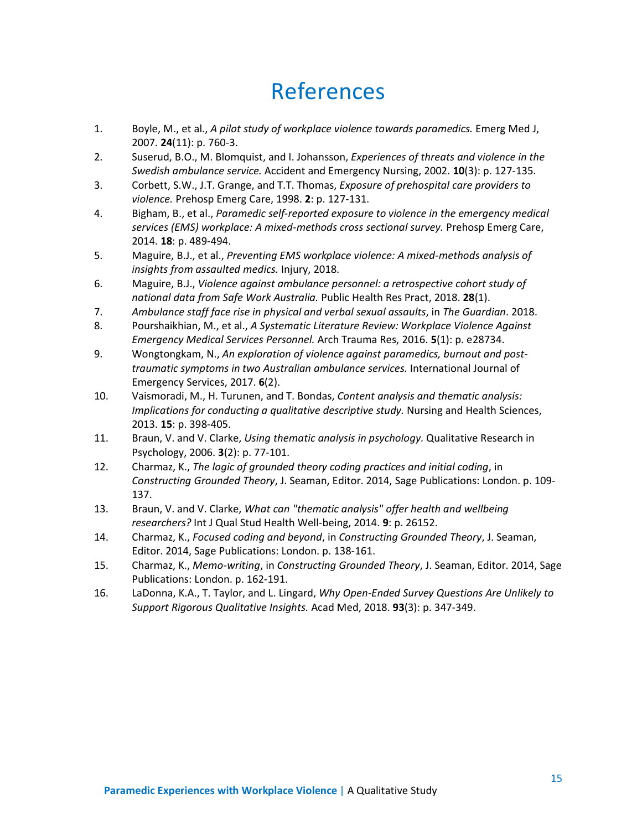### References

- <span id="page-17-0"></span>1. Boyle, M., et al., *A pilot study of workplace violence towards paramedics.* Emerg Med J, 2007. **24**(11): p. 760-3.
- 2. Suserud, B.O., M. Blomquist, and I. Johansson, *Experiences of threats and violence in the Swedish ambulance service.* Accident and Emergency Nursing, 2002. **10**(3): p. 127-135.
- 3. Corbett, S.W., J.T. Grange, and T.T. Thomas, *Exposure of prehospital care providers to violence.* Prehosp Emerg Care, 1998. **2**: p. 127-131.
- 4. Bigham, B., et al., *Paramedic self-reported exposure to violence in the emergency medical services (EMS) workplace: A mixed-methods cross sectional survey.* Prehosp Emerg Care, 2014. **18**: p. 489-494.
- 5. Maguire, B.J., et al., *Preventing EMS workplace violence: A mixed-methods analysis of insights from assaulted medics.* Injury, 2018.
- 6. Maguire, B.J., *Violence against ambulance personnel: a retrospective cohort study of national data from Safe Work Australia.* Public Health Res Pract, 2018. **28**(1).
- 7. *Ambulance staff face rise in physical and verbal sexual assaults*, in *The Guardian*. 2018.
- 8. Pourshaikhian, M., et al., *A Systematic Literature Review: Workplace Violence Against Emergency Medical Services Personnel.* Arch Trauma Res, 2016. **5**(1): p. e28734.
- 9. Wongtongkam, N., *An exploration of violence against paramedics, burnout and posttraumatic symptoms in two Australian ambulance services.* International Journal of Emergency Services, 2017. **6**(2).
- 10. Vaismoradi, M., H. Turunen, and T. Bondas, *Content analysis and thematic analysis: Implications for conducting a qualitative descriptive study.* Nursing and Health Sciences, 2013. **15**: p. 398-405.
- 11. Braun, V. and V. Clarke, *Using thematic analysis in psychology.* Qualitative Research in Psychology, 2006. **3**(2): p. 77-101.
- 12. Charmaz, K., *The logic of grounded theory coding practices and initial coding*, in *Constructing Grounded Theory*, J. Seaman, Editor. 2014, Sage Publications: London. p. 109- 137.
- 13. Braun, V. and V. Clarke, *What can "thematic analysis" offer health and wellbeing researchers?* Int J Qual Stud Health Well-being, 2014. **9**: p. 26152.
- 14. Charmaz, K., *Focused coding and beyond*, in *Constructing Grounded Theory*, J. Seaman, Editor. 2014, Sage Publications: London. p. 138-161.
- 15. Charmaz, K., *Memo-writing*, in *Constructing Grounded Theory*, J. Seaman, Editor. 2014, Sage Publications: London. p. 162-191.
- 16. LaDonna, K.A., T. Taylor, and L. Lingard, *Why Open-Ended Survey Questions Are Unlikely to Support Rigorous Qualitative Insights.* Acad Med, 2018. **93**(3): p. 347-349.